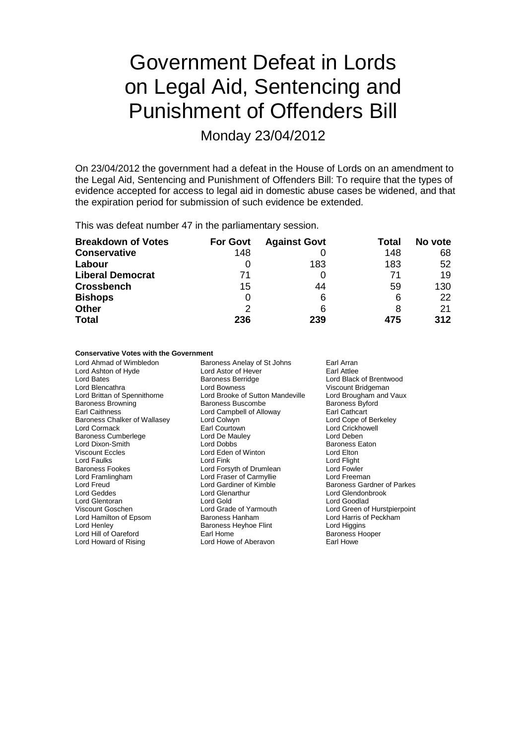## Government Defeat in Lords on Legal Aid, Sentencing and Punishment of Offenders Bill

Monday 23/04/2012

On 23/04/2012 the government had a defeat in the House of Lords on an amendment to the Legal Aid, Sentencing and Punishment of Offenders Bill: To require that the types of evidence accepted for access to legal aid in domestic abuse cases be widened, and that the expiration period for submission of such evidence be extended.

This was defeat number 47 in the parliamentary session.

| <b>Breakdown of Votes</b> | <b>For Govt</b> | <b>Against Govt</b> | Total | No vote |
|---------------------------|-----------------|---------------------|-------|---------|
| <b>Conservative</b>       | 148             |                     | 148   | 68      |
| Labour                    | O               | 183                 | 183   | 52      |
| <b>Liberal Democrat</b>   | 71              |                     | 71    | 19      |
| <b>Crossbench</b>         | 15              | 44                  | 59    | 130     |
| <b>Bishops</b>            | 0               | 6                   | 6     | 22      |
| <b>Other</b>              | 2               |                     | 8     | 21      |
| <b>Total</b>              | 236             | 239                 | 475   | 312     |

#### **Conservative Votes with the Government**

Lord Ahmad of Wimbledon Baroness Anelay of St Johns Earl Arran<br>
Lord Astor of Hever Earl Attlee Lord Ashton of Hyde<br>
Lord Bates<br>
Baroness Berridge Lord Bates **Baroness Berridge** Cord Black of Brentwood<br>
Lord Blencathra **Cord Bowness**<br>
Lord Bowness

Lord Bowness

Lord Blencathra Lord Blencathra **Lord Bowness** Lord Bowness **Viscount Bridgeman**<br>
Lord Brittan of Spennithorne Lord Brooke of Sutton Mandeville Lord Brougham and Vaux Lord Brittan of Spennithorne Lord Brooke of Sutton Mandeville Lord Brougham and Lord Brooke of Sutton Mandeville Lord Brookes Brooke of Sutton Baroness Britanness Britanness Brooke and Values Baroness Britanness Britanness Baroness Browning The Baroness Buscombe Baroness Baroness Byford Baroness Byford Baroness Byford Baroness Byford Baroness Byford Baroness Byford Baroness Byford Baroness Byford Baroness Byford Baroness Byford Baroness Byfo Lord Campbell of Alloway **Earl Cathcart**<br>
Lord Colwyn Lord Cope of Berkeley Baroness Chalker of Wallasey Lord Colwyn Lord Colore Chalker of Berkeley Lord Cope of Berkeley Lord Control Co<br>
Lord Cormack Lord Crickhowell Earl Courtown Earl Courtown Lord Crickhowell Lord Crickhowell<br>
Lord De Mauley Lord Deben Baroness Cumberlege Lord De Mau<br>
Lord Dixon-Smith<br>
Lord Dobbs Lord Dixon-Smith Lord Dobbs Lord Dobbs Baroness Eaton<br>Viscount Eccles Lord Eden of Winton Lord Ethn Viscount Eccles Lord Eden of Winton Lord Elton Lord Faulks Lord Fine Lord Fink Lord Funch Cord Flight<br>
Lord For Lord Forsyth of Drumlean Lord Fowler Baroness Fookes Lord Forsyth of Drumlean Lord Fowler Lord Framlingham Lord Fraser of Carmyllie<br>
Lord Freud Cardiner of Kimble Lord Freud **Lord Gardiner of Kimble** Baroness Gardner of Parkes<br>
Lord Geddes **Lord Glenarthur** Lord Glenathon Lord Glendonbrook Lord Glenarthur Lord Glendonbrook<br>
Lord Gold Lord Goodlad Lord Glentoran **Lord Gold**<br>
Viscount Goschen **Lord Grade of Yarmouth** Viscount Goschen **Lord Grade of Yarmouth** Lord Green of Hurstpierpoint<br>
Lord Hamilton of Epsom Baroness Hanham **Lord Harris of Peckham** Lord Hamilton of Epsom Baroness Hanham Lord Harris of Peckham Baroness Hanham Lord Harris of Peckham Baroness Heyhoe Flint Baroness Heyhoe Flint Lord Higgins<br>
Earl Home Caroness Hooper Lord Hill of Oareford Lord Howard of Rising Lord Howe of Aberavon Earl Howe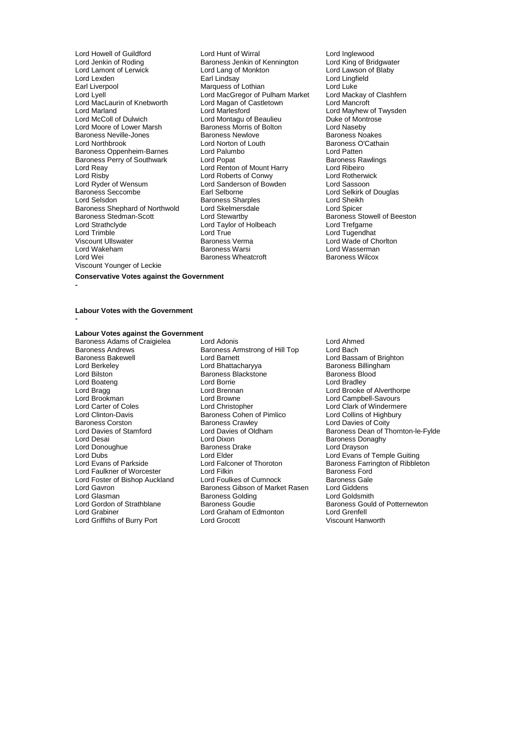Lord MacLaurin of Knebworth Lord Magan of Castletown<br>Lord Marland Lord Marlesford Baroness Neville-Jones<br>
Lord Northbrook Baroness Newlove<br>
Lord Northbrook Baroness Newlove Lord Ryder of Wensum Lord Sanderson of Bowden<br>
Baroness Seccombe Carl Selborne Baroness Shephard of Northwold Lord Skelmersd<br>Baroness Stedman-Scott Lord Stewartby Viscount Younger of Leckie

Lord Howell of Guildford Lord Hunt of Wirral Lord Howell of Guildford<br>
Lord Jenkin of Roding **Collage Baroness** Jenkin of Kennington Lord King of Bridgwater Exaroness Jenkin of Kennington Lord King of Bridgwate<br>
Lord Lang of Monkton Lord Lawson of Blaby Lord Lamont of Lerwick Lord Lang of Monkton Lord Lawson<br>
Lord Lexden Lord Lang of Monkton Lord Lingfield<br>
Lord Lexden Lord Lingfield Lord Lexden **Earl Lindsay** Earl Lindsay Cord Lingfield Lord Lingfield Lord Lingfield Lord Luke Cord Luke Cord Luke Earl Liverpool **Earl Liverpool** Marquess of Lothian **Lord Luke**<br>
Lord Lord MacGregor of Pulham Market 
Lord Mackay of Clashfern Lord Lyell Lord MacGregor of Pulham Market Lord Mackay of Clashed Lord Mackay c<br>Lord MacLaurin of Knebworth Lord Magan of Castletown Lord Mancroft Lord Marland Lord Marlesford Lord Mayhew of Twysden<br>
Lord McColl of Dulwich Lord Montagu of Beaulieu<br>
Lord Montrose Coreal Lord Montagu of Beaulieu<br>
Lord McColl of Montrose Lord Montagu of Beaulieu Duke of Montagu of Beaulieu Duke of Mont<br>Baroness Morris of Bolton Duck Durd Naseby Lord Moore of Lower Marsh **Baroness Morris of Bolton** Lord Naseby<br>Baroness Neville-Jones **Baroness Newlove** Baroness Noakes Lord Norton of Louth **Baroness O'Cathain**<br>
Lord Palumbo<br>
Lord Patten Baroness Oppenheim-Barnes Lord Palumbo<br>
Baroness Perry of Southwark Lord Popat Corporation Communication Baroness Rawlings Baroness Perry of Southwark Lord Popat Lord Renton of Mount Harry Baroness Rawlings Rawlings Rawlings Rawlings R<br>Lord Renton of Mount Harry Lord Ribeiro Lord Reay Lord Renton of Mount Harry Lord Ribeiro Lord Risby **Lord Roberts of Conwy** Lord Rotherwick Lord Rotherwick<br>
Lord Ryder of Wensum Lord Sanderson of Bowden Lord Sassoon Baroness Seccombe **Earl Selborne** Earl Selborne Lord Selkirk of Douglas<br>
Lord Selsdon<br>
Lord Sheikh Baroness Sharples **Lord Sheikh**<br>
Lord Skelmersdale Lord Spicer Baroness Stedman-Scott **Lord Stewartby** Baroness Stowell of Beeston<br>
Lord Strathclyde **Baroness**<br>
Lord Trefgarne Lord Strathclyde Lord Taylor of Holbeach Lord Trefgarne<br>
Lord Trimble Lord True Lord True Lord Tugendha Lord Trimble Lord True Lord Tugendhat Baroness Verma Lord Wade of Chorlton<br>
Raroness Warsi Lord Wasserman Lord Wakeham Baroness Warsi Lord Wasserman Baroness Wheatcroft

**Conservative Votes against the Government**

**-**

#### **Labour Votes with the Government**

**-**

**Labour Votes against the Government** Baroness Adams of Craigielea Lord Adonis Lord Adonis Lord Ahmed<br>Baroness Andrews Baroness Armstrong of Hill Top Lord Bach Baroness Andrews **Baroness Armstrong of Hill Top**<br>Baroness Bakewell **Baroness** Lord Barnett Baroness Bakewell **Lord Barnett** Lord Barnett **Lord Baroness Bakewell**<br>
Lord Berkeley **Lord Barnett** Lord Baroness Billingham Lord Berkeley Lord Bhattacharyya Baroness Billingham Lord Bhattacharyya Baroness Billingham Baroness Billingham<br>Lord Bilston Baroness Blackstone Baroness Blood Lord Boateng Entertainment Cord Borrie<br>
Lord Bragg<br>
Lord Brennan Lord Bragg 
Lord Brennan 
Lord Brooke of Alverthorpe<br>
Lord Brookman

Lord Brookman

Lord Brookman

Lord Brookman

Lord Brookman

Lord Brookman

Lord Brookman

Lord Brookman

Lord Brookman Lord Brookman **Lord Brookman** Lord Browne Lord Campbell-Savours<br>
Lord Carter of Coles **Lord Christopher** Lord Chark of Windermer Lord Carter of Coles<br>
Lord Clark of Windermere<br>
Lord Clinton-Davis<br>
Baroness Cohen of Pimlico<br>
Lord Collins of Highbury Lord Clinton-Davis **Baroness Cohen of Pimlico**<br>Baroness Corston **Baroness Crawley** Baroness Corston Baroness Crawley<br>
Lord Davies of Stamford Lord Davies of Oldham Lord Donoughue Baroness I<br>
Lord Dubs<br>
Lord Plubs Lord Dubs Temple Guiting<br>
Lord Evans of Parkside Lord Elder Lord Falconer of Thoroton Baroness Farrington of Ribblet Lord Faulkner of Worcester Lord Filkin Lord Fulkin Baroness Ford<br>
Lord Foster of Bishop Auckland Lord Foulkes of Cumnock Baroness Gale Lord Foster of Bishop Auckland Lord Foulkes of Cumnock Baroness Gale<br>
Lord Gavron Bishop Auckland Baroness Gibson of Market Rasen Lord Giddens Lord Gavron **Carolic Communist Constructs Baroness Gibson of Market Rasen** Lord Giddens<br>Lord Glasman **Baroness Golding** Lord Goldsmith Lord Glasman Baroness Golding<br>
Lord Gordon of Strathblane Baroness Goudie Lord Gordon of Strathblane **Baroness Goudie** Baroness Gould of Potternewton<br>
Lord Grabiner **Baroness Gould of Potternewton**<br>
Lord Grabiner
Baroness Gould of Potternewton Lord Griffiths of Burry Port

Example Baroness Blackstone<br>
Lord Borrie<br>
Lord Bradley Lord Dixon **Disk Communist Communist Communist Communist Communist Communist Communist Communist Communist Communist Communist Communist Communist Communist Communist Communist Communist Communist Communist Communist Commu** Lord Falconer of Thoroton **Baroness Farrington of Ribbleton**<br> **Baroness Ford** Baroness Ford Lord Graham of Edmonton Lord Grenfell<br>Lord Grocott Lord Grenchi

Express Corston and Baroness Crawley Exercise of Oldham Baroness Crawley Lord Davies of Coity<br>
Lord Davies of Stamford Lord Davies of Oldham Baroness Dean of Thornton-le-Fylde<br>
Lord Dean Baroness Dean of Thornton-le-Fylde<br>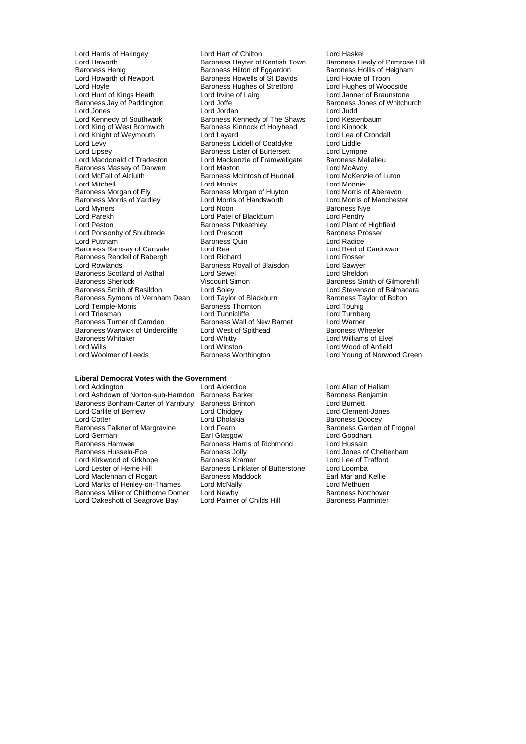Lord Haworth **Baroness Hayter of Kentish Town** Baroness Healy of Primrose Hill<br>Baroness Henig Baroness Hilton of Eggardon Baroness Hollis of Heigham Lord Howarth of Newport **Baroness Howells of St Davids** Lord Howie of Troon<br>
Lord Hoyle **Communist Communist Communist Communist Communist Communist Lord Hughes of Woodside** Lord Hoyle<br>
Lord Hunt of Kings Heath<br>
Lord Irvine of Lairg<br>
Lord Hunt of Kings Heath<br>
Lord Irvine of Lairg Baroness Jay of Paddington Lord Joffe Contract and Baroness Jay of Paddington Lord Jordan Lord Judd Lord Jones Lord Jordan Lord Judd Lord Kennedy of Southwark Baroness Kennedy of The Shaws Lord Kestenbaum<br>
Lord King of West Bromwich Baroness Kinnock of Holyhead Lord Kinnock Lord King of West Bromwich Baroness Kinnock of Holyhead Lord Kinnock Lord Knight of Weymouth Lord Layard Lord Catalogue<br>
Lord Levy Baroness Liddell of Coatdyke Lord Liddle Lord Levy **Example 2** Exercise Baroness Liddell of Coatdyke Lord Liddle<br>
Lord Lipsey **Baroness Lister of Burtersett** Lord Lympne Lord Lipsey **Baroness Lister of Burtersett** Lord Lympne<br>Lord Macdonald of Tradeston Lord Mackenzie of Framwellgate Baroness Mallalieu Baroness Massey of Darwen Lord Maxton Lord Mexton Lord McAvoy<br>
Lord McFall of Alcluith Lord McKenzie of Luton Baroness McIntosh of Hudnall Lord McKenzie of Luton Lord McFall of Alcluith Baroness McIntosh of Hudnall<br>
Lord Mitchell<br>
Lord Monks Lord Mitchell<br>
Baroness Morgan of Ely **Exercise Controls Control** Lord Moonie<br>
Baroness Morgan of Huyton Lord Morris of Aberavon Baroness Morris of Yardley Lord Morris Lord Morris Corp.<br>Lord Myners Lord Myners **Communist Communist Communist Communist Communist Communist Communist Communist Communist Communist Communist Communist Communist Communist Communist Communist Communist Communist Communist Communist Communist** Lord Parekh Lord Patel of Blackburn<br>
Lord Peston Lord Peter Lord Ponsonby of Shulbrede Lord Prescott **Baroness Provide Lord Prescott** Baroness Provide Baroness Provide Baroness Quin Lord Puttnam Baroness Quin Lord Radice Baroness Ramsay of Cartvale Lord Rea Lord Rea Lord Cardowan Baroness Rendell of Babergh Lord Richard Lord Rishard Lord Rosser<br>
Lord Rowlands Corp Baroness Royall of Blaisdon Lord Sawyer Baroness Scotland of Asthal Lord Sewel<br>
Baroness Sherlock Lord Sheldon Ulscount Simon Baroness Smith of Basildon Lord Soley Lord Soley Lord Stevenson of Balmacara-<br>Baroness Symons of Vernham Dean Lord Taylor of Blackburn Baroness Taylor of Bolton Baroness Symons of Vernham Dean Lord Taylor of Blackburn Baroness Ta<br>Lord Temple-Morris Baroness Thornton Baroness Thornton Lord Touhig Lord Temple-Morris **Baroness Thornton Lord Triesman**<br>
Lord Triesman<br>
Lord Tunnicliffe Lord Triesman **Lord Tunnicliffe** Lord Turnberg<br>
Baroness Turner of Camden **Baroness Wall of New Barnet** Lord Warner Baroness Warwick of Undercliffe Lord West of Baroness Whitaker baroness Wheeler Baroness Whitaker Lord Whitty Lord Williams of Elvel Lord Wills Lord Winston Lord Wood of Anfield

Lord Harris of Haringey **Lord Hart of Chilton Cord Haskel**<br>Lord Haworth **Cord Haskel** Baroness Hayter of Kentish Town Baroness He Baroness Hilton of Eggardon<br>Baroness Hollis of Grandon Baroness Hollis of Heigham<br>Baroness Howells of St Davids Lord Howie of Troon Lord Irvine of Lairg<br>
Lord Joffe **Heath Lord Investigation**<br>
Baroness Jones of Whitchurch Lord Mackenzie of Framwellgate Baroness Mallalieus<br>Lord Maxton Lord McAvoy Baroness Morgan of Huyton Lord Morris of Aberavon<br>
Lord Morris of Handsworth Lord Morris of Manchester Baroness Pitkeathley **Lord Plant of Highfield**<br>
Lord Prescott **Baroness Prosser** Lord Rowlands Baroness Royall of Blaisdon Lord Sawyer Viscount Simon Baroness Smith of Gilmorehill<br>
Lord Soley **Baroness Smith of Gilmorehill**<br>
Lord Soley **Baroness Smith of Balmacara** Baroness Wall of New Barnet Lord Warner Lord West of Spithead Baroness Wheeler

## **Liberal Democrat Votes with the Government**

Lord Ashdown of Norton-sub-Hamdon Baroness Barker Baroness Bengaroness Benjamin Baroness Benjamin Baroness Benjamin<br>Baroness Bonham-Carter of Yarnbury Baroness Brinton Baroness Bonhamett Baroness Bonham-Carter of Yarnbury Baroness Brinton Lord Burnett Lord Cartile of Berriew Lord Chidgey Lord Clement-Jones Lord Carlile of Berriew Lord Chidgey<br>
Lord Cotter Lord Chidgey<br>
Lord Cotter Baroness Falkner of Margravine Lord German **Earl Glasgow** Earl Glasgow Lord Goodhart<br>
Baroness Hamwee **Baroness Harris of Richmond** Lord Hussain Baroness Hamwee Baroness Harris of Richmond<br>Baroness Hussein-Ece Baroness Jolly Lord Kirkwood of Kirkhope Baroness Kramer Lord Lee of Trafford Lord Maclennan of Rogart **Baroness Maddock** Earl Mar and Kellie Haroness Maddock Earl Mar and Kellie<br> **Early Marks of Henley-on-Thames** Lord McNally **Early Act Act Act Methuen** Lord Marks of Henley-on-Thames Lord McNally Lord Methuen<br>Baroness Miller of Chilthorne Domer Lord Newby **Lord Methuen** Baroness Northover Baroness Miller of Chilthorne Domer Lord Newby<br>
Lord Cakeshott of Seagrove Bay Lord Palmer of Childs Hill Baroness Parminter Lord Oakeshott of Seagrove Bay

Lord Dholakia<br>Lord Fearn Lord Cotter Lord Baroness Garden of Frognal Baroness Jolly Lord Jones of Cheltenham<br>Baroness Kramer<br>Lord Lee of Trafford Baroness Linklater of Butterstone Lord Loomba<br>
Baroness Maddock 
Bar Mar and Kellie

Lord Young of Norwood Green

Lord Allan of Hallam<br>Baroness Beniamin